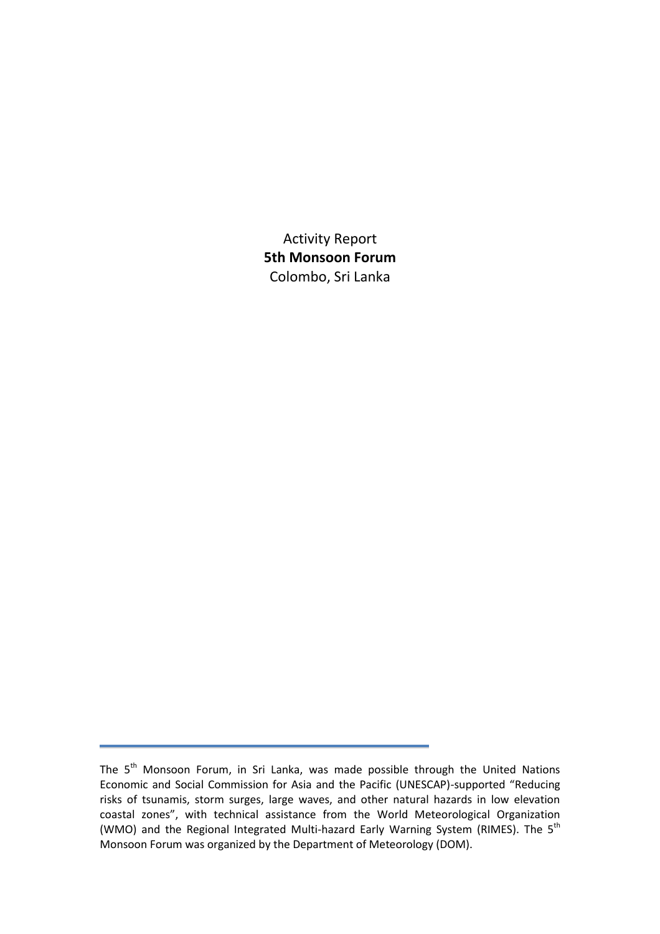Activity Report **5th Monsoon Forum** Colombo, Sri Lanka

The 5<sup>th</sup> Monsoon Forum, in Sri Lanka, was made possible through the United Nations Economic and Social Commission for Asia and the Pacific (UNESCAP)-supported "Reducing risks of tsunamis, storm surges, large waves, and other natural hazards in low elevation coastal zones", with technical assistance from the World Meteorological Organization (WMO) and the Regional Integrated Multi-hazard Early Warning System (RIMES). The 5<sup>th</sup> Monsoon Forum was organized by the Department of Meteorology (DOM).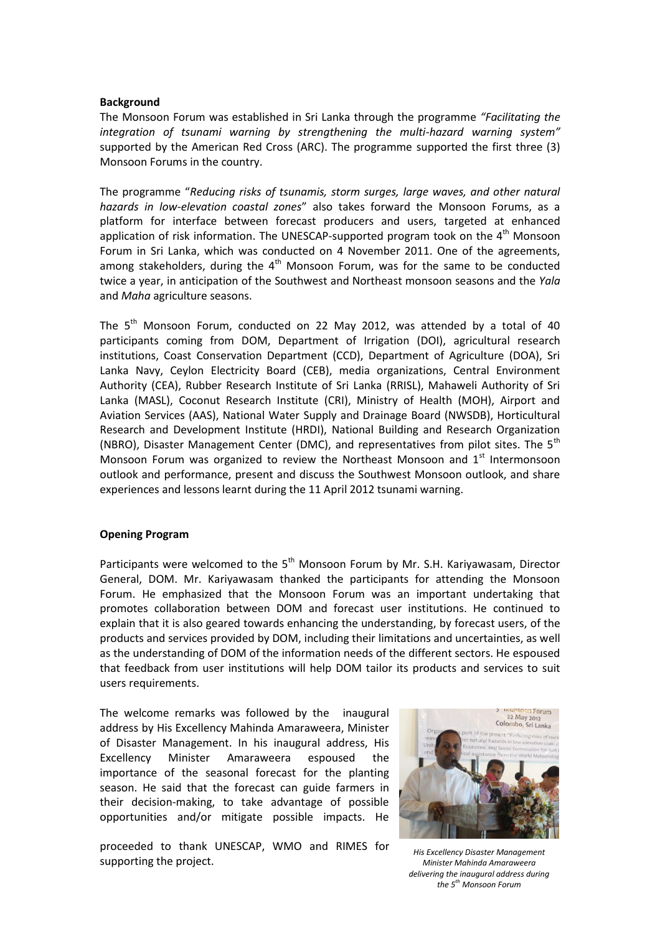#### **Background**

The Monsoon Forum was established in Sri Lanka through the programme *"Facilitating the integration of tsunami warning by strengthening the multi-hazard warning system"* supported by the American Red Cross (ARC). The programme supported the first three (3) Monsoon Forums in the country.

The programme "*Reducing risks of tsunamis, storm surges, large waves, and other natural hazards in low-elevation coastal zones*" also takes forward the Monsoon Forums, as a platform for interface between forecast producers and users, targeted at enhanced application of risk information. The UNESCAP-supported program took on the  $4<sup>th</sup>$  Monsoon Forum in Sri Lanka, which was conducted on 4 November 2011. One of the agreements, among stakeholders, during the  $4<sup>th</sup>$  Monsoon Forum, was for the same to be conducted twice a year, in anticipation of the Southwest and Northeast monsoon seasons and the *Yala* and *Maha* agriculture seasons.

The  $5<sup>th</sup>$  Monsoon Forum, conducted on 22 May 2012, was attended by a total of 40 participants coming from DOM, Department of Irrigation (DOI), agricultural research institutions, Coast Conservation Department (CCD), Department of Agriculture (DOA), Sri Lanka Navy, Ceylon Electricity Board (CEB), media organizations, Central Environment Authority (CEA), Rubber Research Institute of Sri Lanka (RRISL), Mahaweli Authority of Sri Lanka (MASL), Coconut Research Institute (CRI), Ministry of Health (MOH), Airport and Aviation Services (AAS), National Water Supply and Drainage Board (NWSDB), Horticultural Research and Development Institute (HRDI), National Building and Research Organization (NBRO), Disaster Management Center (DMC), and representatives from pilot sites. The  $5<sup>th</sup>$ Monsoon Forum was organized to review the Northeast Monsoon and  $1<sup>st</sup>$  Intermonsoon outlook and performance, present and discuss the Southwest Monsoon outlook, and share experiences and lessons learnt during the 11 April 2012 tsunami warning.

#### **Opening Program**

Participants were welcomed to the  $5<sup>th</sup>$  Monsoon Forum by Mr. S.H. Kariyawasam, Director General, DOM. Mr. Kariyawasam thanked the participants for attending the Monsoon Forum. He emphasized that the Monsoon Forum was an important undertaking that promotes collaboration between DOM and forecast user institutions. He continued to explain that it is also geared towards enhancing the understanding, by forecast users, of the products and services provided by DOM, including their limitations and uncertainties, as well as the understanding of DOM of the information needs of the different sectors. He espoused that feedback from user institutions will help DOM tailor its products and services to suit users requirements.

The welcome remarks was followed by the inaugural address by His Excellency Mahinda Amaraweera, Minister of Disaster Management. In his inaugural address, His Excellency Minister Amaraweera espoused the importance of the seasonal forecast for the planting season. He said that the forecast can guide farmers in their decision-making, to take advantage of possible opportunities and/or mitigate possible impacts. He

proceeded to thank UNESCAP, WMO and RIMES for supporting the project.



*His Excellency Disaster Management Minister Mahinda Amaraweera delivering the inaugural address during the 5th Monsoon Forum*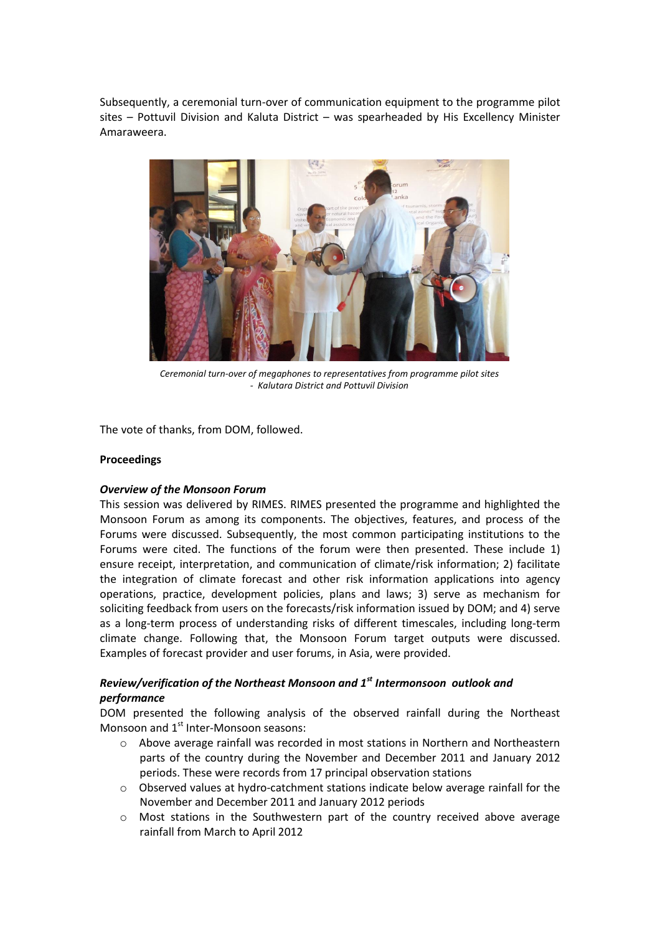Subsequently, a ceremonial turn-over of communication equipment to the programme pilot sites – Pottuvil Division and Kaluta District – was spearheaded by His Excellency Minister Amaraweera.



*Ceremonial turn-over of megaphones to representatives from programme pilot sites - Kalutara District and Pottuvil Division*

The vote of thanks, from DOM, followed.

#### **Proceedings**

### *Overview of the Monsoon Forum*

This session was delivered by RIMES. RIMES presented the programme and highlighted the Monsoon Forum as among its components. The objectives, features, and process of the Forums were discussed. Subsequently, the most common participating institutions to the Forums were cited. The functions of the forum were then presented. These include 1) ensure receipt, interpretation, and communication of climate/risk information; 2) facilitate the integration of climate forecast and other risk information applications into agency operations, practice, development policies, plans and laws; 3) serve as mechanism for soliciting feedback from users on the forecasts/risk information issued by DOM; and 4) serve as a long-term process of understanding risks of different timescales, including long-term climate change. Following that, the Monsoon Forum target outputs were discussed. Examples of forecast provider and user forums, in Asia, were provided.

# *Review/verification of the Northeast Monsoon and 1st Intermonsoon outlook and performance*

DOM presented the following analysis of the observed rainfall during the Northeast Monsoon and  $1<sup>st</sup>$  Inter-Monsoon seasons:

- o Above average rainfall was recorded in most stations in Northern and Northeastern parts of the country during the November and December 2011 and January 2012 periods. These were records from 17 principal observation stations
- o Observed values at hydro-catchment stations indicate below average rainfall for the November and December 2011 and January 2012 periods
- o Most stations in the Southwestern part of the country received above average rainfall from March to April 2012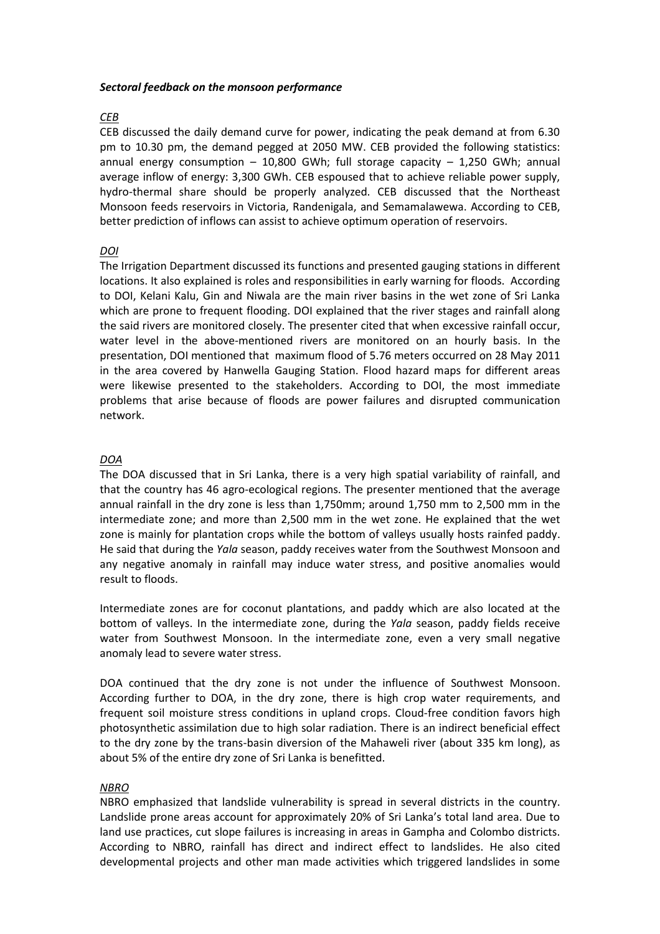#### *Sectoral feedback on the monsoon performance*

# *CEB*

CEB discussed the daily demand curve for power, indicating the peak demand at from 6.30 pm to 10.30 pm, the demand pegged at 2050 MW. CEB provided the following statistics: annual energy consumption  $-$  10,800 GWh; full storage capacity  $-$  1,250 GWh; annual average inflow of energy: 3,300 GWh. CEB espoused that to achieve reliable power supply, hydro-thermal share should be properly analyzed. CEB discussed that the Northeast Monsoon feeds reservoirs in Victoria, Randenigala, and Semamalawewa. According to CEB, better prediction of inflows can assist to achieve optimum operation of reservoirs.

# *DOI*

The Irrigation Department discussed its functions and presented gauging stations in different locations. It also explained is roles and responsibilities in early warning for floods. According to DOI, Kelani Kalu, Gin and Niwala are the main river basins in the wet zone of Sri Lanka which are prone to frequent flooding. DOI explained that the river stages and rainfall along the said rivers are monitored closely. The presenter cited that when excessive rainfall occur, water level in the above-mentioned rivers are monitored on an hourly basis. In the presentation, DOI mentioned that maximum flood of 5.76 meters occurred on 28 May 2011 in the area covered by Hanwella Gauging Station. Flood hazard maps for different areas were likewise presented to the stakeholders. According to DOI, the most immediate problems that arise because of floods are power failures and disrupted communication network.

# *DOA*

The DOA discussed that in Sri Lanka, there is a very high spatial variability of rainfall, and that the country has 46 agro-ecological regions. The presenter mentioned that the average annual rainfall in the dry zone is less than 1,750mm; around 1,750 mm to 2,500 mm in the intermediate zone; and more than 2,500 mm in the wet zone. He explained that the wet zone is mainly for plantation crops while the bottom of valleys usually hosts rainfed paddy. He said that during the *Yala* season, paddy receives water from the Southwest Monsoon and any negative anomaly in rainfall may induce water stress, and positive anomalies would result to floods.

Intermediate zones are for coconut plantations, and paddy which are also located at the bottom of valleys. In the intermediate zone, during the *Yala* season, paddy fields receive water from Southwest Monsoon. In the intermediate zone, even a very small negative anomaly lead to severe water stress.

DOA continued that the dry zone is not under the influence of Southwest Monsoon. According further to DOA, in the dry zone, there is high crop water requirements, and frequent soil moisture stress conditions in upland crops. Cloud-free condition favors high photosynthetic assimilation due to high solar radiation. There is an indirect beneficial effect to the dry zone by the trans-basin diversion of the Mahaweli river (about 335 km long), as about 5% of the entire dry zone of Sri Lanka is benefitted.

### *NBRO*

NBRO emphasized that landslide vulnerability is spread in several districts in the country. Landslide prone areas account for approximately 20% of Sri Lanka's total land area. Due to land use practices, cut slope failures is increasing in areas in Gampha and Colombo districts. According to NBRO, rainfall has direct and indirect effect to landslides. He also cited developmental projects and other man made activities which triggered landslides in some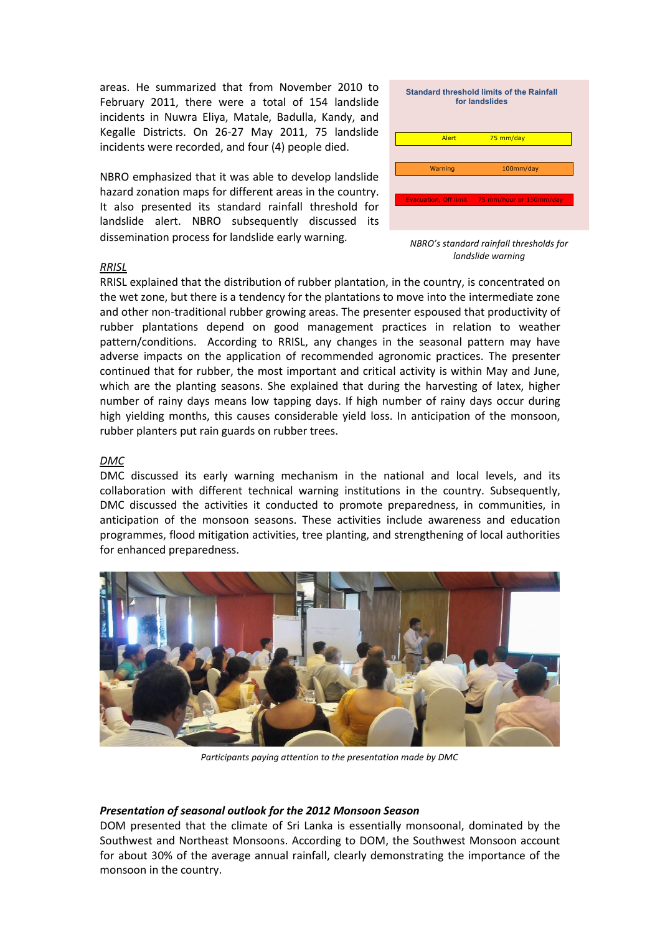areas. He summarized that from November 2010 to February 2011, there were a total of 154 landslide incidents in Nuwra Eliya, Matale, Badulla, Kandy, and Kegalle Districts. On 26-27 May 2011, 75 landslide incidents were recorded, and four (4) people died.

NBRO emphasized that it was able to develop landslide hazard zonation maps for different areas in the country. It also presented its standard rainfall threshold for landslide alert. NBRO subsequently discussed its dissemination process for landslide early warning.

| <b>Standard threshold limits of the Rainfall</b><br>for landslides |                                               |
|--------------------------------------------------------------------|-----------------------------------------------|
| Alert                                                              | 75 mm/day                                     |
|                                                                    |                                               |
| Warning                                                            | 100mm/day                                     |
|                                                                    |                                               |
|                                                                    | Evacuation, Off limit 75 mm/hour or 150mm/day |
|                                                                    |                                               |

*NBRO's standard rainfall thresholds for landslide warning*

#### *RRISL*

RRISL explained that the distribution of rubber plantation, in the country, is concentrated on the wet zone, but there is a tendency for the plantations to move into the intermediate zone and other non-traditional rubber growing areas. The presenter espoused that productivity of rubber plantations depend on good management practices in relation to weather pattern/conditions. According to RRISL, any changes in the seasonal pattern may have adverse impacts on the application of recommended agronomic practices. The presenter continued that for rubber, the most important and critical activity is within May and June, which are the planting seasons. She explained that during the harvesting of latex, higher number of rainy days means low tapping days. If high number of rainy days occur during high yielding months, this causes considerable yield loss. In anticipation of the monsoon, rubber planters put rain guards on rubber trees.

### *DMC*

DMC discussed its early warning mechanism in the national and local levels, and its collaboration with different technical warning institutions in the country. Subsequently, DMC discussed the activities it conducted to promote preparedness, in communities, in anticipation of the monsoon seasons. These activities include awareness and education programmes, flood mitigation activities, tree planting, and strengthening of local authorities for enhanced preparedness.



*Participants paying attention to the presentation made by DMC*

#### *Presentation of seasonal outlook for the 2012 Monsoon Season*

DOM presented that the climate of Sri Lanka is essentially monsoonal, dominated by the Southwest and Northeast Monsoons. According to DOM, the Southwest Monsoon account for about 30% of the average annual rainfall, clearly demonstrating the importance of the monsoon in the country.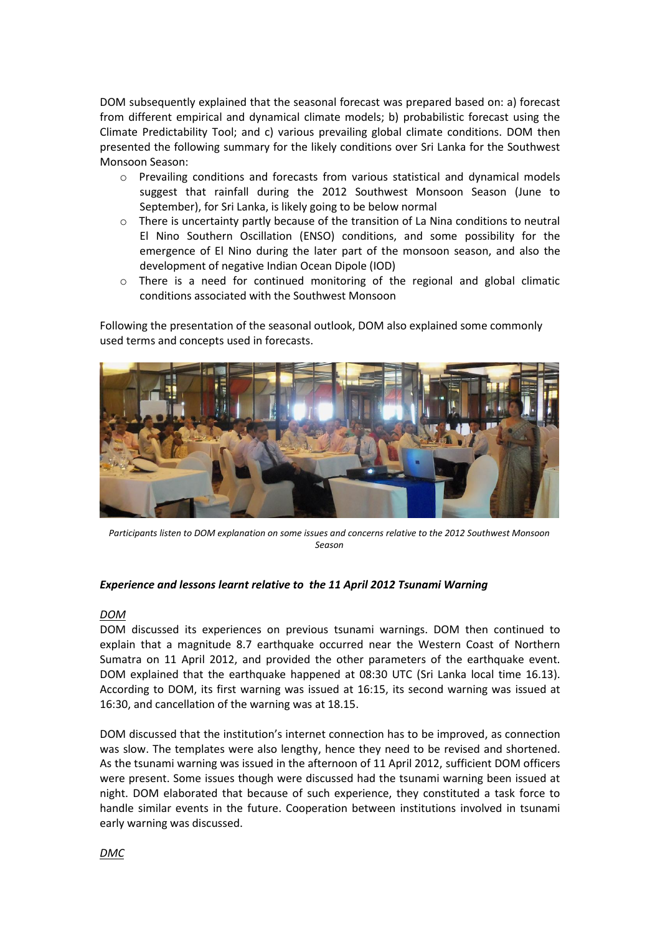DOM subsequently explained that the seasonal forecast was prepared based on: a) forecast from different empirical and dynamical climate models; b) probabilistic forecast using the Climate Predictability Tool; and c) various prevailing global climate conditions. DOM then presented the following summary for the likely conditions over Sri Lanka for the Southwest Monsoon Season:

- o Prevailing conditions and forecasts from various statistical and dynamical models suggest that rainfall during the 2012 Southwest Monsoon Season (June to September), for Sri Lanka, is likely going to be below normal
- o There is uncertainty partly because of the transition of La Nina conditions to neutral El Nino Southern Oscillation (ENSO) conditions, and some possibility for the emergence of El Nino during the later part of the monsoon season, and also the development of negative Indian Ocean Dipole (IOD)
- o There is a need for continued monitoring of the regional and global climatic conditions associated with the Southwest Monsoon

Following the presentation of the seasonal outlook, DOM also explained some commonly used terms and concepts used in forecasts.



*Participants listen to DOM explanation on some issues and concerns relative to the 2012 Southwest Monsoon Season*

#### *Experience and lessons learnt relative to the 11 April 2012 Tsunami Warning*

#### *DOM*

DOM discussed its experiences on previous tsunami warnings. DOM then continued to explain that a magnitude 8.7 earthquake occurred near the Western Coast of Northern Sumatra on 11 April 2012, and provided the other parameters of the earthquake event. DOM explained that the earthquake happened at 08:30 UTC (Sri Lanka local time 16.13). According to DOM, its first warning was issued at 16:15, its second warning was issued at 16:30, and cancellation of the warning was at 18.15.

DOM discussed that the institution's internet connection has to be improved, as connection was slow. The templates were also lengthy, hence they need to be revised and shortened. As the tsunami warning was issued in the afternoon of 11 April 2012, sufficient DOM officers were present. Some issues though were discussed had the tsunami warning been issued at night. DOM elaborated that because of such experience, they constituted a task force to handle similar events in the future. Cooperation between institutions involved in tsunami early warning was discussed.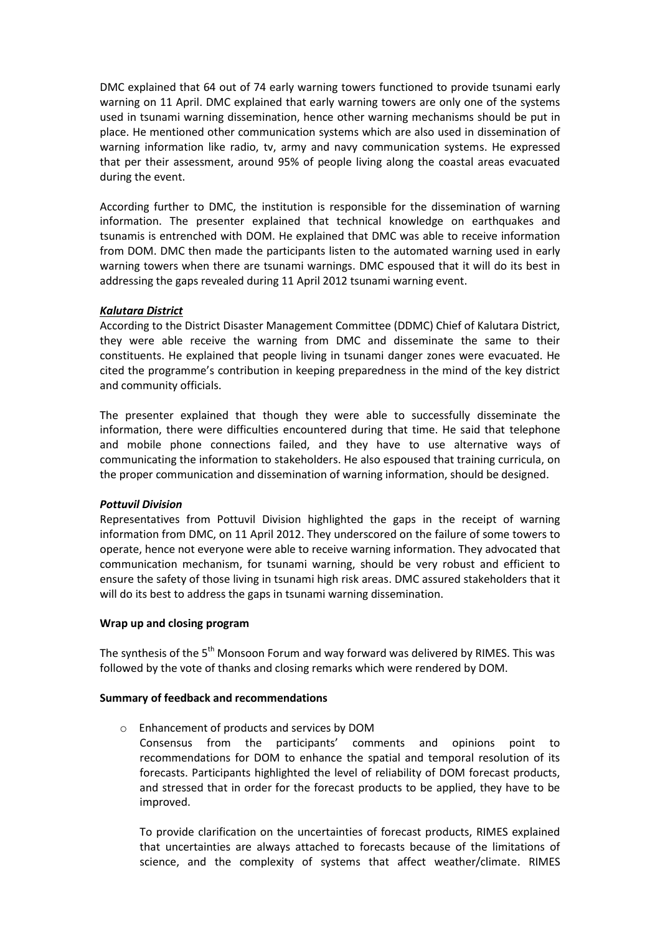DMC explained that 64 out of 74 early warning towers functioned to provide tsunami early warning on 11 April. DMC explained that early warning towers are only one of the systems used in tsunami warning dissemination, hence other warning mechanisms should be put in place. He mentioned other communication systems which are also used in dissemination of warning information like radio, tv, army and navy communication systems. He expressed that per their assessment, around 95% of people living along the coastal areas evacuated during the event.

According further to DMC, the institution is responsible for the dissemination of warning information. The presenter explained that technical knowledge on earthquakes and tsunamis is entrenched with DOM. He explained that DMC was able to receive information from DOM. DMC then made the participants listen to the automated warning used in early warning towers when there are tsunami warnings. DMC espoused that it will do its best in addressing the gaps revealed during 11 April 2012 tsunami warning event.

### *Kalutara District*

According to the District Disaster Management Committee (DDMC) Chief of Kalutara District, they were able receive the warning from DMC and disseminate the same to their constituents. He explained that people living in tsunami danger zones were evacuated. He cited the programme's contribution in keeping preparedness in the mind of the key district and community officials.

The presenter explained that though they were able to successfully disseminate the information, there were difficulties encountered during that time. He said that telephone and mobile phone connections failed, and they have to use alternative ways of communicating the information to stakeholders. He also espoused that training curricula, on the proper communication and dissemination of warning information, should be designed.

### *Pottuvil Division*

Representatives from Pottuvil Division highlighted the gaps in the receipt of warning information from DMC, on 11 April 2012. They underscored on the failure of some towers to operate, hence not everyone were able to receive warning information. They advocated that communication mechanism, for tsunami warning, should be very robust and efficient to ensure the safety of those living in tsunami high risk areas. DMC assured stakeholders that it will do its best to address the gaps in tsunami warning dissemination.

### **Wrap up and closing program**

The synthesis of the  $5<sup>th</sup>$  Monsoon Forum and way forward was delivered by RIMES. This was followed by the vote of thanks and closing remarks which were rendered by DOM.

### **Summary of feedback and recommendations**

o Enhancement of products and services by DOM Consensus from the participants' comments and opinions point to recommendations for DOM to enhance the spatial and temporal resolution of its forecasts. Participants highlighted the level of reliability of DOM forecast products, and stressed that in order for the forecast products to be applied, they have to be improved.

To provide clarification on the uncertainties of forecast products, RIMES explained that uncertainties are always attached to forecasts because of the limitations of science, and the complexity of systems that affect weather/climate. RIMES